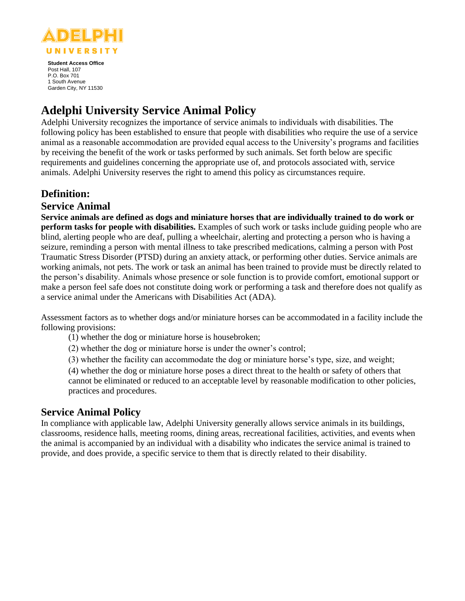

**Student Access Office** Post Hall, 107 P.O. Box 701 1 South Avenue Garden City, NY 11530

# **Adelphi University Service Animal Policy**

Adelphi University recognizes the importance of service animals to individuals with disabilities. The following policy has been established to ensure that people with disabilities who require the use of a service animal as a reasonable accommodation are provided equal access to the University's programs and facilities by receiving the benefit of the work or tasks performed by such animals. Set forth below are specific requirements and guidelines concerning the appropriate use of, and protocols associated with, service animals. Adelphi University reserves the right to amend this policy as circumstances require.

# **Definition:**

### **Service Animal**

**Service animals are defined as dogs and miniature horses that are individually trained to do work or perform tasks for people with disabilities.** Examples of such work or tasks include guiding people who are blind, alerting people who are deaf, pulling a wheelchair, alerting and protecting a person who is having a seizure, reminding a person with mental illness to take prescribed medications, calming a person with Post Traumatic Stress Disorder (PTSD) during an anxiety attack, or performing other duties. Service animals are working animals, not pets. The work or task an animal has been trained to provide must be directly related to the person's disability. Animals whose presence or sole function is to provide comfort, emotional support or make a person feel safe does not constitute doing work or performing a task and therefore does not qualify as a service animal under the Americans with Disabilities Act (ADA).

Assessment factors as to whether dogs and/or miniature horses can be accommodated in a facility include the following provisions:

- (1) whether the dog or miniature horse is housebroken;
- (2) whether the dog or miniature horse is under the owner's control;
- (3) whether the facility can accommodate the dog or miniature horse's type, size, and weight;

(4) whether the dog or miniature horse poses a direct threat to the health or safety of others that cannot be eliminated or reduced to an acceptable level by reasonable modification to other policies, practices and procedures.

### **Service Animal Policy**

In compliance with applicable law, Adelphi University generally allows service animals in its buildings, classrooms, residence halls, meeting rooms, dining areas, recreational facilities, activities, and events when the animal is accompanied by an individual with a disability who indicates the service animal is trained to provide, and does provide, a specific service to them that is directly related to their disability.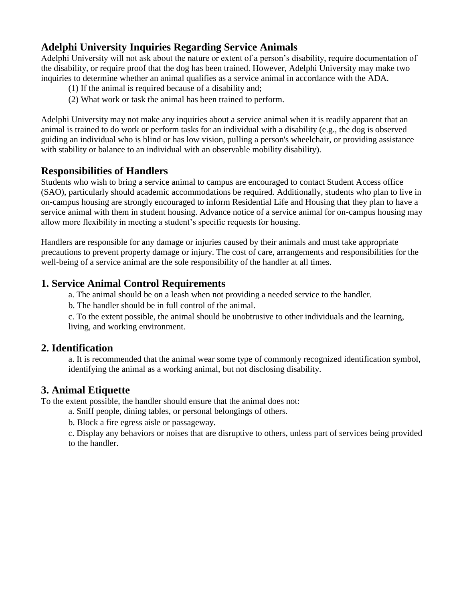# **Adelphi University Inquiries Regarding Service Animals**

Adelphi University will not ask about the nature or extent of a person's disability, require documentation of the disability, or require proof that the dog has been trained. However, Adelphi University may make two inquiries to determine whether an animal qualifies as a service animal in accordance with the ADA.

- (1) If the animal is required because of a disability and;
- (2) What work or task the animal has been trained to perform.

Adelphi University may not make any inquiries about a service animal when it is readily apparent that an animal is trained to do work or perform tasks for an individual with a disability (e.g., the dog is observed guiding an individual who is blind or has low vision, pulling a person's wheelchair, or providing assistance with stability or balance to an individual with an observable mobility disability).

#### **Responsibilities of Handlers**

Students who wish to bring a service animal to campus are encouraged to contact Student Access office (SAO), particularly should academic accommodations be required. Additionally, students who plan to live in on-campus housing are strongly encouraged to inform Residential Life and Housing that they plan to have a service animal with them in student housing. Advance notice of a service animal for on-campus housing may allow more flexibility in meeting a student's specific requests for housing.

Handlers are responsible for any damage or injuries caused by their animals and must take appropriate precautions to prevent property damage or injury. The cost of care, arrangements and responsibilities for the well-being of a service animal are the sole responsibility of the handler at all times.

#### **1. Service Animal Control Requirements**

a. The animal should be on a leash when not providing a needed service to the handler.

b. The handler should be in full control of the animal.

c. To the extent possible, the animal should be unobtrusive to other individuals and the learning, living, and working environment.

#### **2. Identification**

a. It is recommended that the animal wear some type of commonly recognized identification symbol, identifying the animal as a working animal, but not disclosing disability.

#### **3. Animal Etiquette**

To the extent possible, the handler should ensure that the animal does not:

a. Sniff people, dining tables, or personal belongings of others.

b. Block a fire egress aisle or passageway.

c. Display any behaviors or noises that are disruptive to others, unless part of services being provided to the handler.